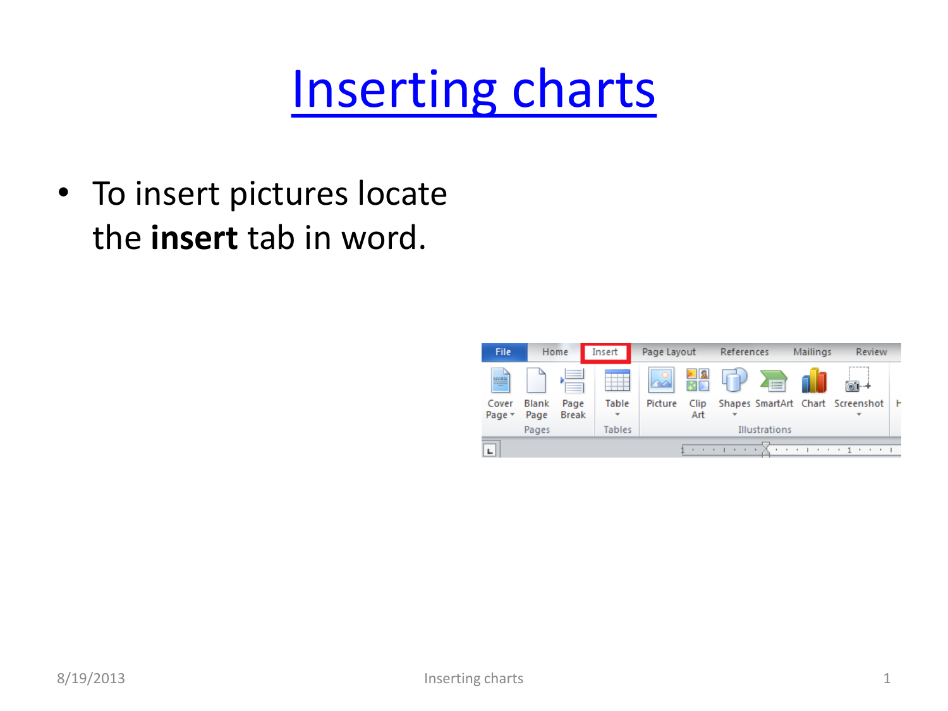## [Inserting charts](#page-3-0)

• To insert pictures locate the **insert** tab in word.

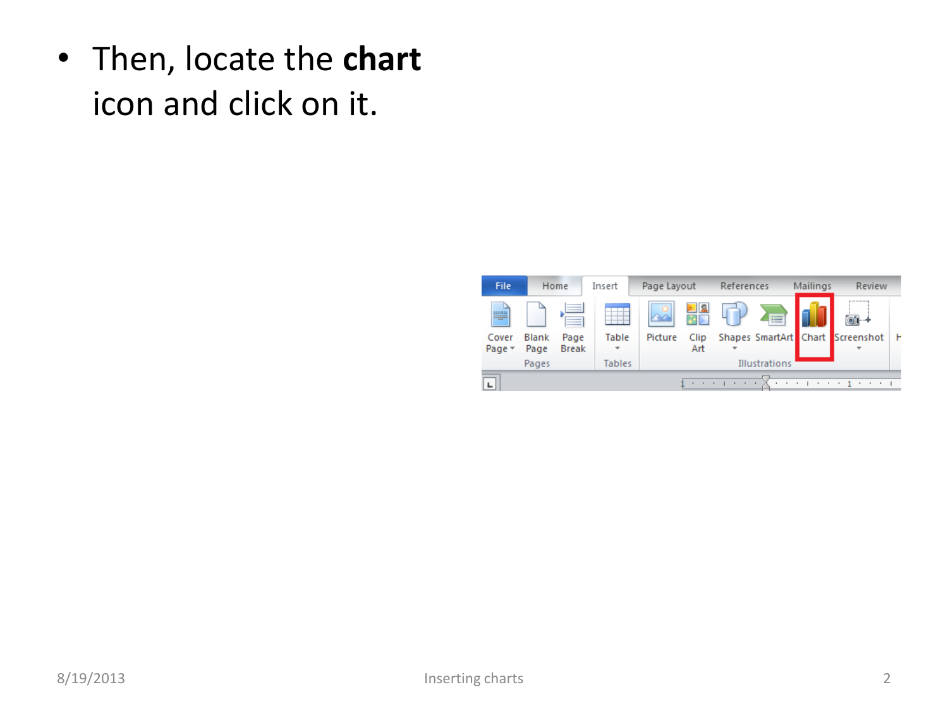• Then, locate the **chart** icon and click on it.

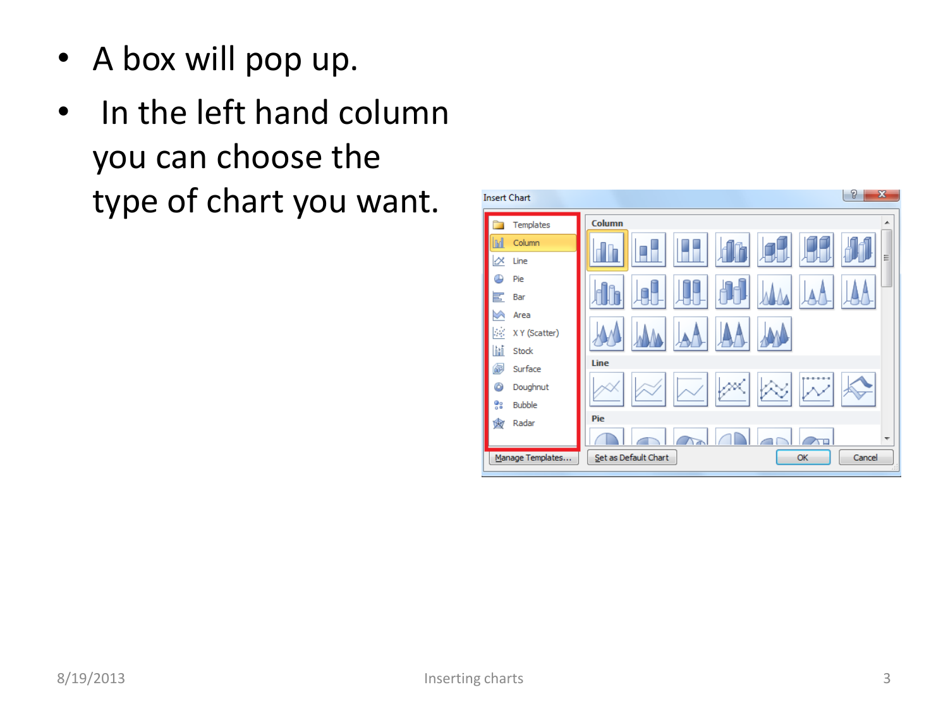- A box will pop up.
- In the left hand column you can choose the type of chart you want.

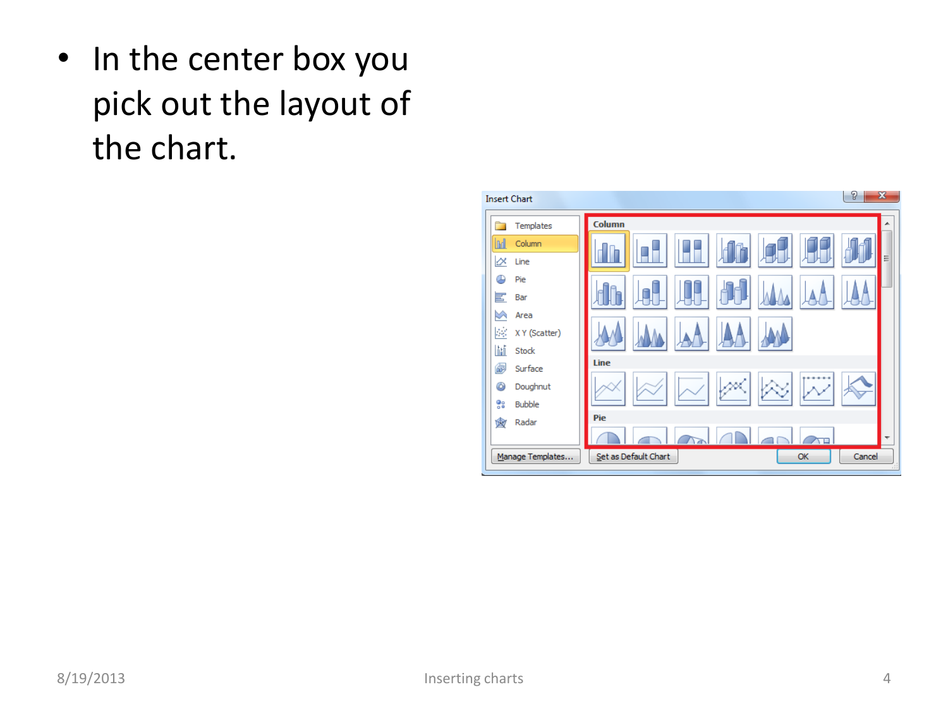<span id="page-3-0"></span>• In the center box you pick out the layout of the chart.

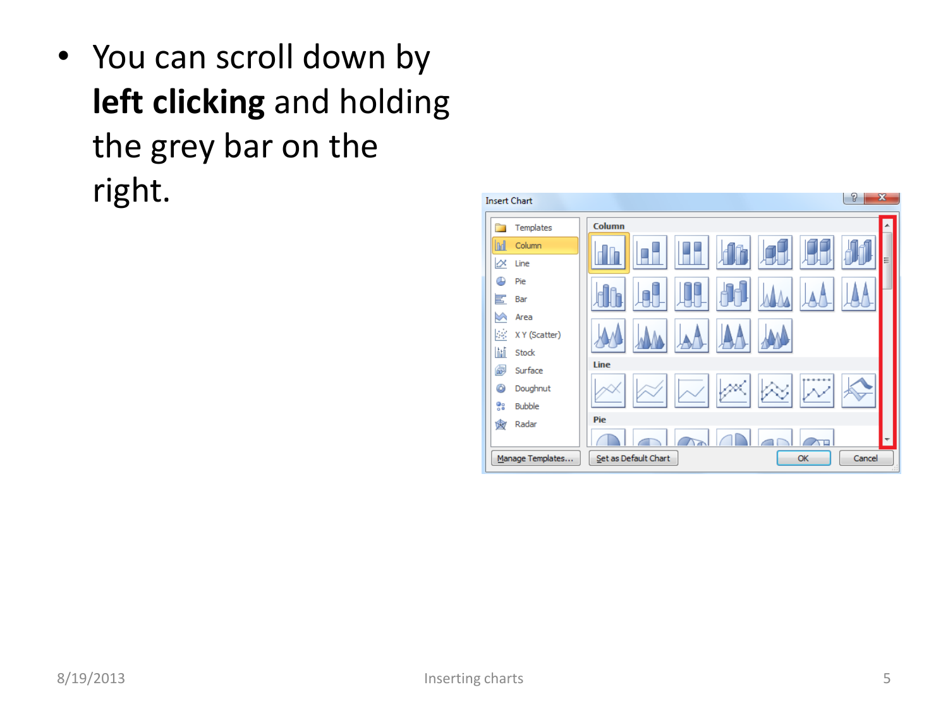• You can scroll down by **left clicking** and holding the grey bar on the right.

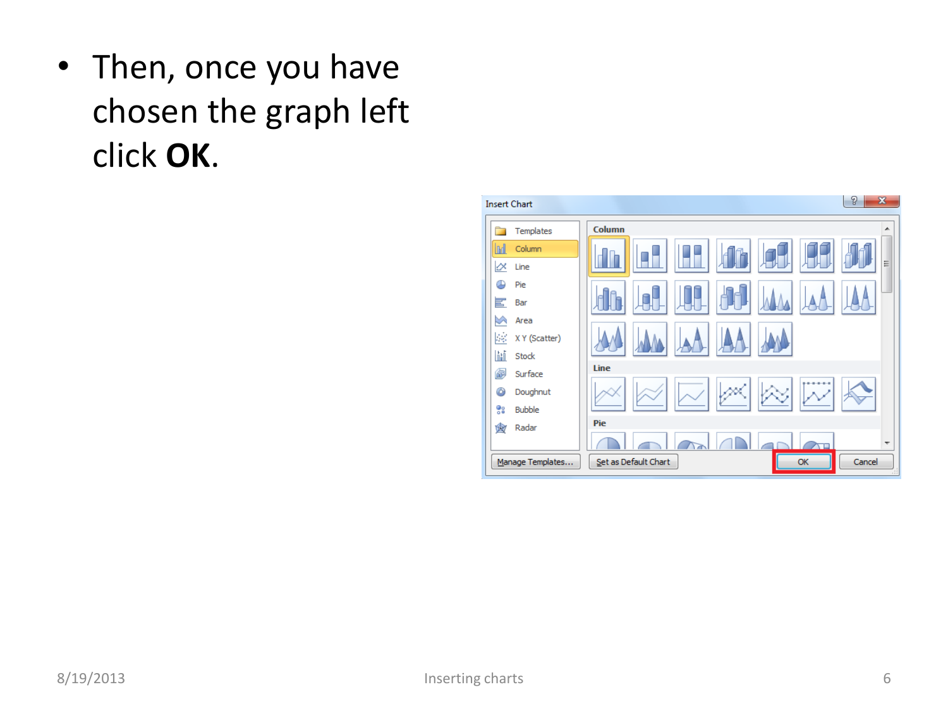• Then, once you have chosen the graph left click **OK**.

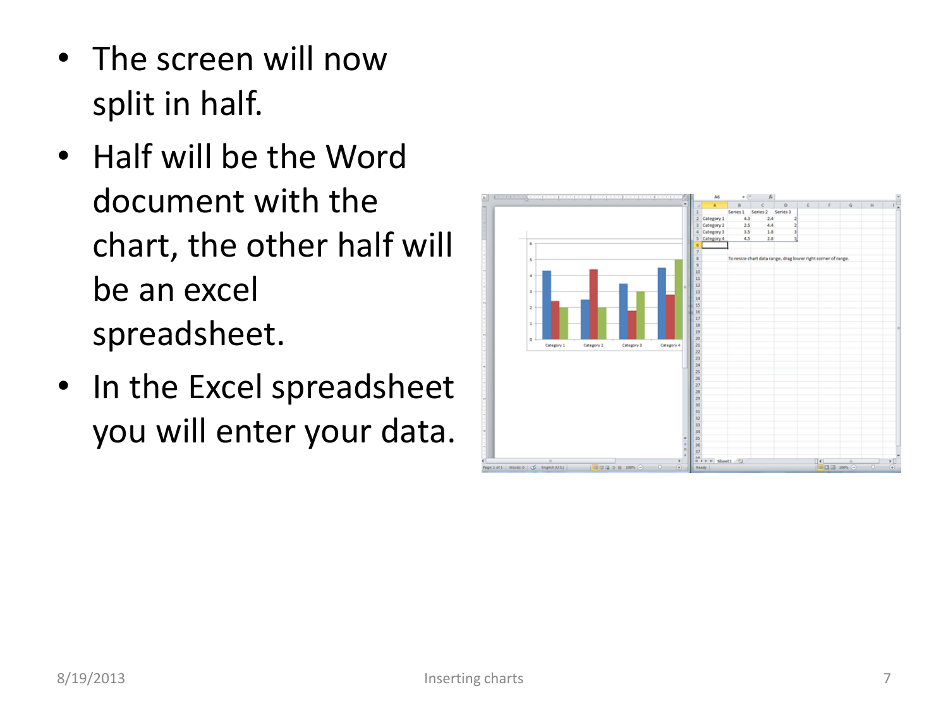- The screen will now split in half.
- Half will be the Word document with the chart, the other half will be an excel spreadsheet.
- In the Excel spreadsheet you will enter your data.

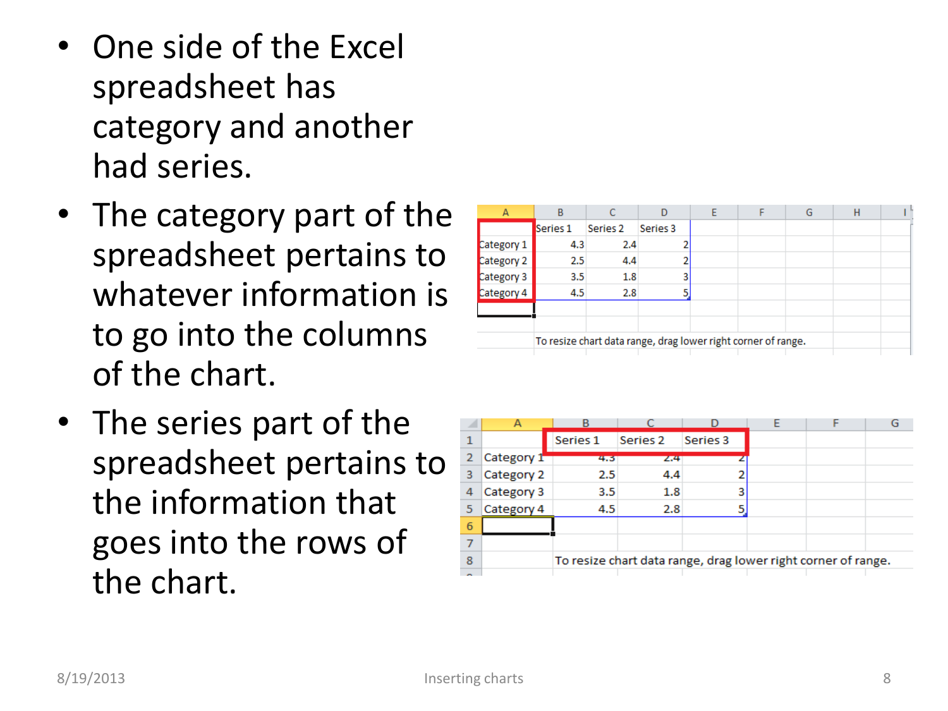- One side of the Excel spreadsheet has category and another had series.
- The category part of the spreadsheet pertains to whatever information is to go into the columns of the chart.
- The series part of the spreadsheet pertains to the information that goes into the rows of the chart.

| B                                                             |          | D                        | E                 |  | G | н |  |
|---------------------------------------------------------------|----------|--------------------------|-------------------|--|---|---|--|
| Series 1                                                      | Series 2 | Series 3                 |                   |  |   |   |  |
|                                                               |          |                          |                   |  |   |   |  |
|                                                               | 4.4      |                          |                   |  |   |   |  |
|                                                               |          | 3                        |                   |  |   |   |  |
|                                                               |          |                          |                   |  |   |   |  |
|                                                               |          |                          |                   |  |   |   |  |
|                                                               |          |                          |                   |  |   |   |  |
| To resize chart data range, drag lower right corner of range. |          |                          |                   |  |   |   |  |
|                                                               |          | 4.3<br>2.5<br>3.5<br>4.5 | 2.4<br>1.8<br>2.8 |  |   |   |  |

|   | А          | в        |                                                               |          |  |  |  |  |  |
|---|------------|----------|---------------------------------------------------------------|----------|--|--|--|--|--|
|   |            | Series 1 | Series 2                                                      | Series 3 |  |  |  |  |  |
|   | Category 1 | 4.3      | 2.4                                                           |          |  |  |  |  |  |
| з | Category 2 | 2.5      | 4.4                                                           |          |  |  |  |  |  |
| 4 | Category 3 | 3.5      | 1.8                                                           |          |  |  |  |  |  |
| 5 | Category 4 | 4.5      | 2.8                                                           |          |  |  |  |  |  |
| 6 |            |          |                                                               |          |  |  |  |  |  |
|   |            |          |                                                               |          |  |  |  |  |  |
| 8 |            |          | To resize chart data range, drag lower right corner of range. |          |  |  |  |  |  |
|   |            |          |                                                               |          |  |  |  |  |  |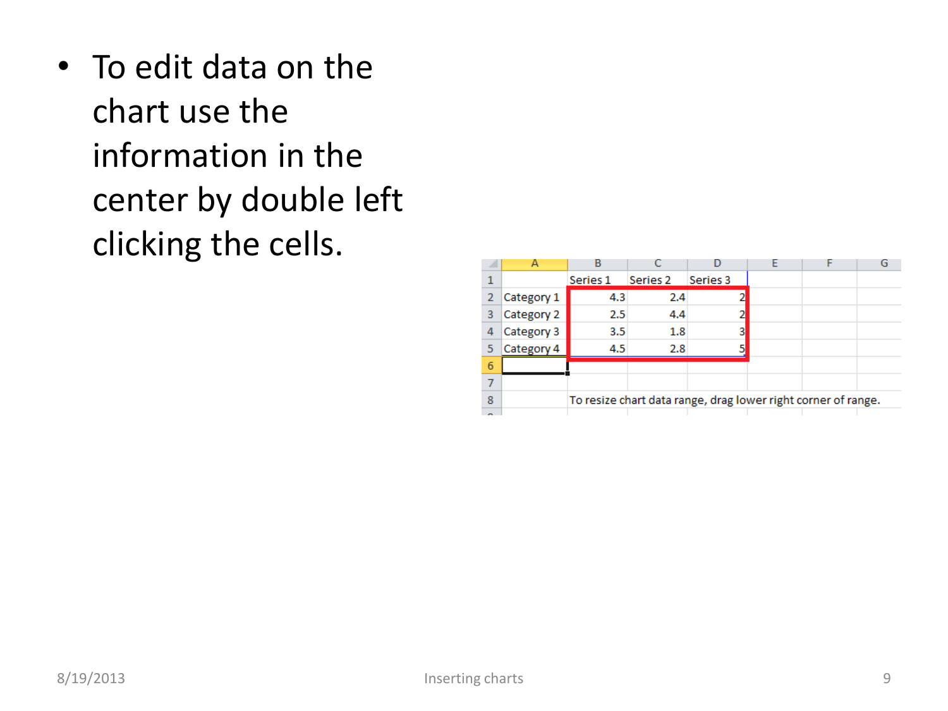• To edit data on the chart use the information in the center by double left clicking the cells.

|        |            | В        |                                                               |          |  |  |
|--------|------------|----------|---------------------------------------------------------------|----------|--|--|
|        |            | Series 1 | Series 2                                                      | Series 3 |  |  |
| 2      | Category 1 | 4.3      | 2.4                                                           |          |  |  |
| 3      | Category 2 | 2.5      | 4.4                                                           |          |  |  |
|        | Category 3 | 3.5      | 1.8                                                           | 3        |  |  |
|        | Category 4 | 4.5      | 2.8                                                           |          |  |  |
| 6      |            |          |                                                               |          |  |  |
|        |            |          |                                                               |          |  |  |
| 8      |            |          | To resize chart data range, drag lower right corner of range. |          |  |  |
| $\sim$ |            |          |                                                               |          |  |  |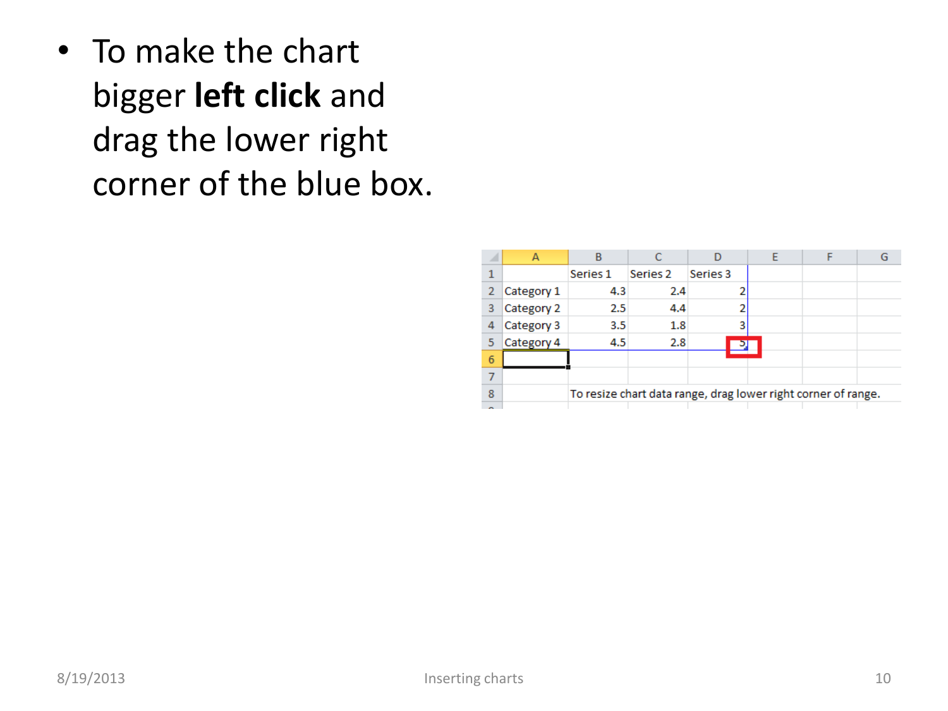• To make the chart bigger **left click** and drag the lower right corner of the blue box.

|        |            | В        |                                                               |          |  |  |
|--------|------------|----------|---------------------------------------------------------------|----------|--|--|
|        |            | Series 1 | Series <sub>2</sub>                                           | Series 3 |  |  |
| 2      | Category 1 | 4.3      | 2.4                                                           |          |  |  |
| 3      | Category 2 | 2.5      | 4.4                                                           |          |  |  |
|        | Category 3 | 3.5      | 1.8                                                           | з        |  |  |
|        | Category 4 | 4.5      | 2.8                                                           |          |  |  |
| 6      |            |          |                                                               |          |  |  |
|        |            |          |                                                               |          |  |  |
| 8      |            |          | To resize chart data range, drag lower right corner of range. |          |  |  |
| $\sim$ |            |          |                                                               |          |  |  |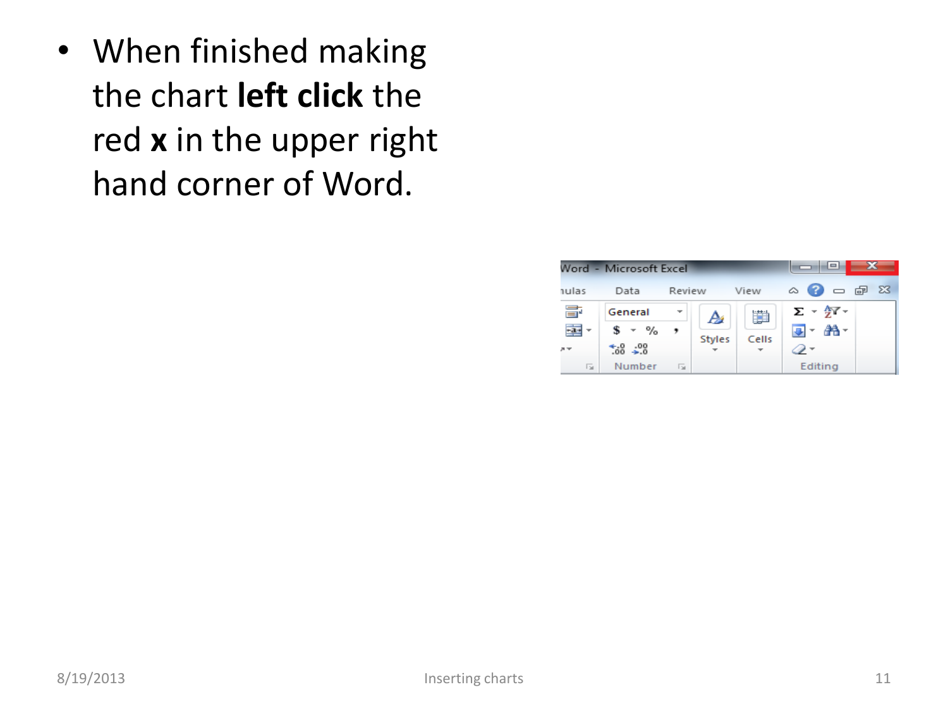• When finished making the chart **left click** the red **x** in the upper right hand corner of Word.

|       | Word - Microsoft Excel | --                       |               |       |                                           |  |
|-------|------------------------|--------------------------|---------------|-------|-------------------------------------------|--|
| nulas | Data                   | Review                   |               | View  | $\circ$ $\bullet$ $\circ$ $\circ$ $\circ$ |  |
| 寄     | General                | $\overline{\phantom{a}}$ | A             | Ħ     | $\Sigma$ - $\frac{4}{2}$ -                |  |
|       | \$<br>$-$ %            |                          | <b>Styles</b> | Cells | ■・ 翁・                                     |  |
| $n =$ | $*_{.00}^{0}$ - 00     |                          |               |       |                                           |  |
| 园     | Number                 | <b>Tail</b>              |               |       | Editing                                   |  |